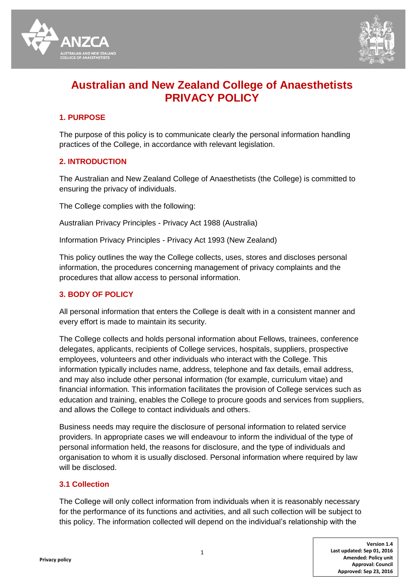



# **Australian and New Zealand College of Anaesthetists PRIVACY POLICY**

# **1. PURPOSE**

The purpose of this policy is to communicate clearly the personal information handling practices of the College, in accordance with relevant legislation.

# **2. INTRODUCTION**

The Australian and New Zealand College of Anaesthetists (the College) is committed to ensuring the privacy of individuals.

The College complies with the following:

Australian Privacy Principles - Privacy Act 1988 (Australia)

Information Privacy Principles - Privacy Act 1993 (New Zealand)

This policy outlines the way the College collects, uses, stores and discloses personal information, the procedures concerning management of privacy complaints and the procedures that allow access to personal information.

# **3. BODY OF POLICY**

All personal information that enters the College is dealt with in a consistent manner and every effort is made to maintain its security.

The College collects and holds personal information about Fellows, trainees, conference delegates, applicants, recipients of College services, hospitals, suppliers, prospective employees, volunteers and other individuals who interact with the College. This information typically includes name, address, telephone and fax details, email address, and may also include other personal information (for example, curriculum vitae) and financial information. This information facilitates the provision of College services such as education and training, enables the College to procure goods and services from suppliers, and allows the College to contact individuals and others.

Business needs may require the disclosure of personal information to related service providers. In appropriate cases we will endeavour to inform the individual of the type of personal information held, the reasons for disclosure, and the type of individuals and organisation to whom it is usually disclosed. Personal information where required by law will be disclosed.

# **3.1 Collection**

The College will only collect information from individuals when it is reasonably necessary for the performance of its functions and activities, and all such collection will be subject to this policy. The information collected will depend on the individual's relationship with the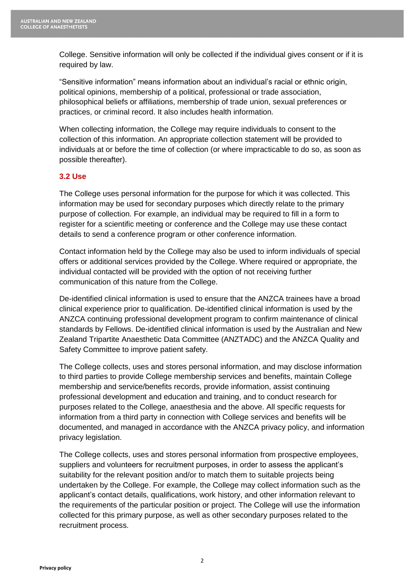College. Sensitive information will only be collected if the individual gives consent or if it is required by law.

"Sensitive information" means information about an individual's racial or ethnic origin, political opinions, membership of a political, professional or trade association, philosophical beliefs or affiliations, membership of trade union, sexual preferences or practices, or criminal record. It also includes health information.

When collecting information, the College may require individuals to consent to the collection of this information. An appropriate collection statement will be provided to individuals at or before the time of collection (or where impracticable to do so, as soon as possible thereafter).

# **3.2 Use**

The College uses personal information for the purpose for which it was collected. This information may be used for secondary purposes which directly relate to the primary purpose of collection. For example, an individual may be required to fill in a form to register for a scientific meeting or conference and the College may use these contact details to send a conference program or other conference information.

Contact information held by the College may also be used to inform individuals of special offers or additional services provided by the College. Where required or appropriate, the individual contacted will be provided with the option of not receiving further communication of this nature from the College.

De-identified clinical information is used to ensure that the ANZCA trainees have a broad clinical experience prior to qualification. De-identified clinical information is used by the ANZCA continuing professional development program to confirm maintenance of clinical standards by Fellows. De-identified clinical information is used by the Australian and New Zealand Tripartite Anaesthetic Data Committee (ANZTADC) and the ANZCA Quality and Safety Committee to improve patient safety.

The College collects, uses and stores personal information, and may disclose information to third parties to provide College membership services and benefits, maintain College membership and service/benefits records, provide information, assist continuing professional development and education and training, and to conduct research for purposes related to the College, anaesthesia and the above. All specific requests for information from a third party in connection with College services and benefits will be documented, and managed in accordance with the ANZCA privacy policy, and information privacy legislation.

The College collects, uses and stores personal information from prospective employees, suppliers and volunteers for recruitment purposes, in order to assess the applicant's suitability for the relevant position and/or to match them to suitable projects being undertaken by the College. For example, the College may collect information such as the applicant's contact details, qualifications, work history, and other information relevant to the requirements of the particular position or project. The College will use the information collected for this primary purpose, as well as other secondary purposes related to the recruitment process.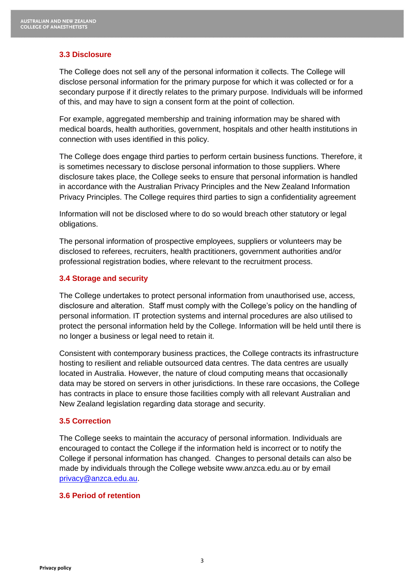# **3.3 Disclosure**

The College does not sell any of the personal information it collects. The College will disclose personal information for the primary purpose for which it was collected or for a secondary purpose if it directly relates to the primary purpose. Individuals will be informed of this, and may have to sign a consent form at the point of collection.

For example, aggregated membership and training information may be shared with medical boards, health authorities, government, hospitals and other health institutions in connection with uses identified in this policy.

The College does engage third parties to perform certain business functions. Therefore, it is sometimes necessary to disclose personal information to those suppliers. Where disclosure takes place, the College seeks to ensure that personal information is handled in accordance with the Australian Privacy Principles and the New Zealand Information Privacy Principles. The College requires third parties to sign a confidentiality agreement

Information will not be disclosed where to do so would breach other statutory or legal obligations.

The personal information of prospective employees, suppliers or volunteers may be disclosed to referees, recruiters, health practitioners, government authorities and/or professional registration bodies, where relevant to the recruitment process.

#### **3.4 Storage and security**

The College undertakes to protect personal information from unauthorised use, access, disclosure and alteration. Staff must comply with the College's policy on the handling of personal information. IT protection systems and internal procedures are also utilised to protect the personal information held by the College. Information will be held until there is no longer a business or legal need to retain it.

Consistent with contemporary business practices, the College contracts its infrastructure hosting to resilient and reliable outsourced data centres. The data centres are usually located in Australia. However, the nature of cloud computing means that occasionally data may be stored on servers in other jurisdictions. In these rare occasions, the College has contracts in place to ensure those facilities comply with all relevant Australian and New Zealand legislation regarding data storage and security.

#### **3.5 Correction**

The College seeks to maintain the accuracy of personal information. Individuals are encouraged to contact the College if the information held is incorrect or to notify the College if personal information has changed. Changes to personal details can also be made by individuals through the College website www.anzca.edu.au or by email [privacy@anzca.edu.au.](mailto:privacy@anzca.edu.au)

#### **3.6 Period of retention**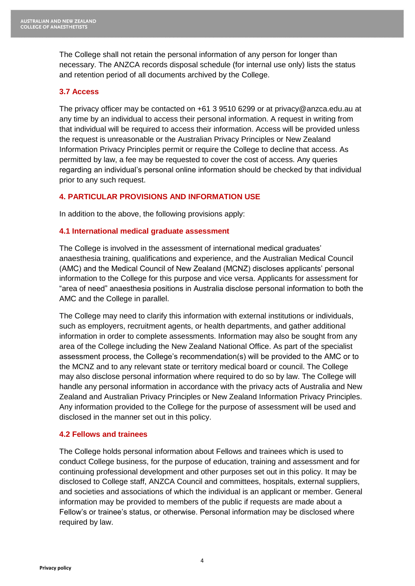The College shall not retain the personal information of any person for longer than necessary. The ANZCA records disposal schedule (for internal use only) lists the status and retention period of all documents archived by the College.

# **3.7 Access**

The privacy officer may be contacted on +61 3 9510 6299 or at privacy@anzca.edu.au at any time by an individual to access their personal information. A request in writing from that individual will be required to access their information. Access will be provided unless the request is unreasonable or the Australian Privacy Principles or New Zealand Information Privacy Principles permit or require the College to decline that access. As permitted by law, a fee may be requested to cover the cost of access. Any queries regarding an individual's personal online information should be checked by that individual prior to any such request.

# **4. PARTICULAR PROVISIONS AND INFORMATION USE**

In addition to the above, the following provisions apply:

# **4.1 International medical graduate assessment**

The College is involved in the assessment of international medical graduates' anaesthesia training, qualifications and experience, and the Australian Medical Council (AMC) and the Medical Council of New Zealand (MCNZ) discloses applicants' personal information to the College for this purpose and vice versa. Applicants for assessment for "area of need" anaesthesia positions in Australia disclose personal information to both the AMC and the College in parallel.

The College may need to clarify this information with external institutions or individuals, such as employers, recruitment agents, or health departments, and gather additional information in order to complete assessments. Information may also be sought from any area of the College including the New Zealand National Office. As part of the specialist assessment process, the College's recommendation(s) will be provided to the AMC or to the MCNZ and to any relevant state or territory medical board or council. The College may also disclose personal information where required to do so by law. The College will handle any personal information in accordance with the privacy acts of Australia and New Zealand and Australian Privacy Principles or New Zealand Information Privacy Principles. Any information provided to the College for the purpose of assessment will be used and disclosed in the manner set out in this policy.

# **4.2 Fellows and trainees**

The College holds personal information about Fellows and trainees which is used to conduct College business, for the purpose of education, training and assessment and for continuing professional development and other purposes set out in this policy. It may be disclosed to College staff, ANZCA Council and committees, hospitals, external suppliers, and societies and associations of which the individual is an applicant or member. General information may be provided to members of the public if requests are made about a Fellow's or trainee's status, or otherwise. Personal information may be disclosed where required by law.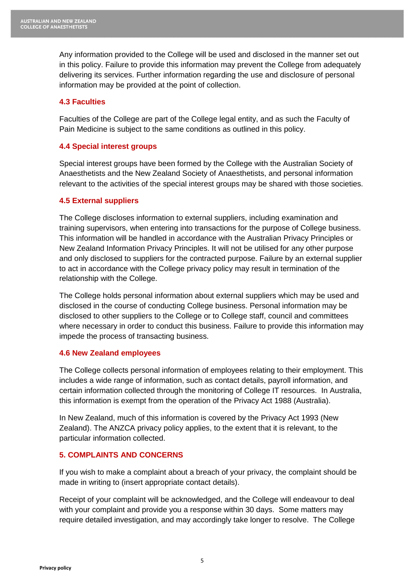Any information provided to the College will be used and disclosed in the manner set out in this policy. Failure to provide this information may prevent the College from adequately delivering its services. Further information regarding the use and disclosure of personal information may be provided at the point of collection.

# **4.3 Faculties**

Faculties of the College are part of the College legal entity, and as such the Faculty of Pain Medicine is subject to the same conditions as outlined in this policy.

# **4.4 Special interest groups**

Special interest groups have been formed by the College with the Australian Society of Anaesthetists and the New Zealand Society of Anaesthetists, and personal information relevant to the activities of the special interest groups may be shared with those societies.

# **4.5 External suppliers**

The College discloses information to external suppliers, including examination and training supervisors, when entering into transactions for the purpose of College business. This information will be handled in accordance with the Australian Privacy Principles or New Zealand Information Privacy Principles. It will not be utilised for any other purpose and only disclosed to suppliers for the contracted purpose. Failure by an external supplier to act in accordance with the College privacy policy may result in termination of the relationship with the College.

The College holds personal information about external suppliers which may be used and disclosed in the course of conducting College business. Personal information may be disclosed to other suppliers to the College or to College staff, council and committees where necessary in order to conduct this business. Failure to provide this information may impede the process of transacting business.

# **4.6 New Zealand employees**

The College collects personal information of employees relating to their employment. This includes a wide range of information, such as contact details, payroll information, and certain information collected through the monitoring of College IT resources. In Australia, this information is exempt from the operation of the Privacy Act 1988 (Australia).

In New Zealand, much of this information is covered by the Privacy Act 1993 (New Zealand). The ANZCA privacy policy applies, to the extent that it is relevant, to the particular information collected.

# **5. COMPLAINTS AND CONCERNS**

If you wish to make a complaint about a breach of your privacy, the complaint should be made in writing to (insert appropriate contact details).

Receipt of your complaint will be acknowledged, and the College will endeavour to deal with your complaint and provide you a response within 30 days. Some matters may require detailed investigation, and may accordingly take longer to resolve. The College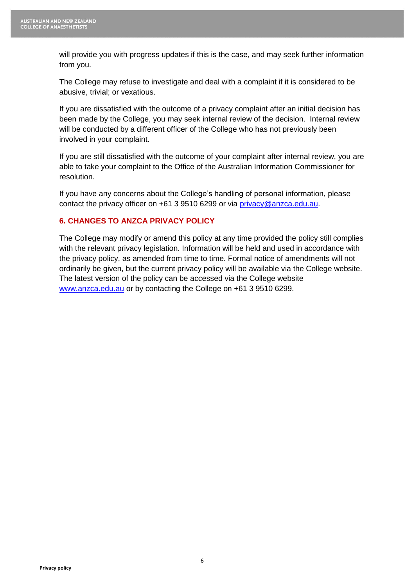will provide you with progress updates if this is the case, and may seek further information from you.

The College may refuse to investigate and deal with a complaint if it is considered to be abusive, trivial; or vexatious.

If you are dissatisfied with the outcome of a privacy complaint after an initial decision has been made by the College, you may seek internal review of the decision. Internal review will be conducted by a different officer of the College who has not previously been involved in your complaint.

If you are still dissatisfied with the outcome of your complaint after internal review, you are able to take your complaint to the Office of the Australian Information Commissioner for resolution.

If you have any concerns about the College's handling of personal information, please contact the privacy officer on +61 3 9510 6299 or via [privacy@anzca.edu.au.](mailto:ceoanzca@anzca.edu.au)

# **6. CHANGES TO ANZCA PRIVACY POLICY**

The College may modify or amend this policy at any time provided the policy still complies with the relevant privacy legislation. Information will be held and used in accordance with the privacy policy, as amended from time to time. Formal notice of amendments will not ordinarily be given, but the current privacy policy will be available via the College website. The latest version of the policy can be accessed via the College website [www.anzca.edu.au](http://www.anzca.edu.au/) or by contacting the College on +61 3 9510 6299.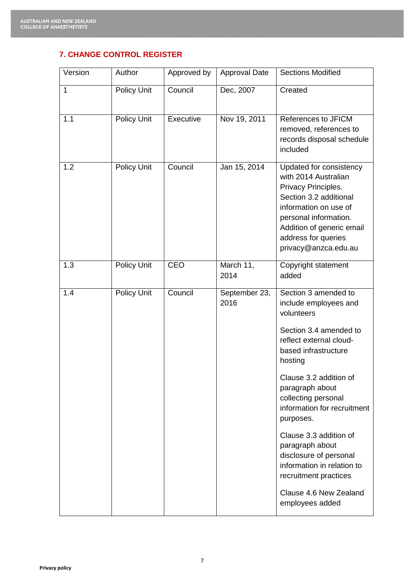# **7. CHANGE CONTROL REGISTER**

| Version      | Author             | Approved by | <b>Approval Date</b>  | <b>Sections Modified</b>                                                                                                                                                                                                                                                                                                                                                                                                    |
|--------------|--------------------|-------------|-----------------------|-----------------------------------------------------------------------------------------------------------------------------------------------------------------------------------------------------------------------------------------------------------------------------------------------------------------------------------------------------------------------------------------------------------------------------|
| $\mathbf{1}$ | <b>Policy Unit</b> | Council     | Dec, 2007             | Created                                                                                                                                                                                                                                                                                                                                                                                                                     |
| 1.1          | <b>Policy Unit</b> | Executive   | Nov 19, 2011          | References to JFICM<br>removed, references to<br>records disposal schedule<br>included                                                                                                                                                                                                                                                                                                                                      |
| 1.2          | Policy Unit        | Council     | Jan 15, 2014          | Updated for consistency<br>with 2014 Australian<br>Privacy Principles.<br>Section 3.2 additional<br>information on use of<br>personal information.<br>Addition of generic email<br>address for queries<br>privacy@anzca.edu.au                                                                                                                                                                                              |
| 1.3          | <b>Policy Unit</b> | CEO         | March 11,<br>2014     | Copyright statement<br>added                                                                                                                                                                                                                                                                                                                                                                                                |
| 1.4          | Policy Unit        | Council     | September 23,<br>2016 | Section 3 amended to<br>include employees and<br>volunteers<br>Section 3.4 amended to<br>reflect external cloud-<br>based infrastructure<br>hosting<br>Clause 3.2 addition of<br>paragraph about<br>collecting personal<br>information for recruitment<br>purposes.<br>Clause 3.3 addition of<br>paragraph about<br>disclosure of personal<br>information in relation to<br>recruitment practices<br>Clause 4.6 New Zealand |
|              |                    |             |                       | employees added                                                                                                                                                                                                                                                                                                                                                                                                             |